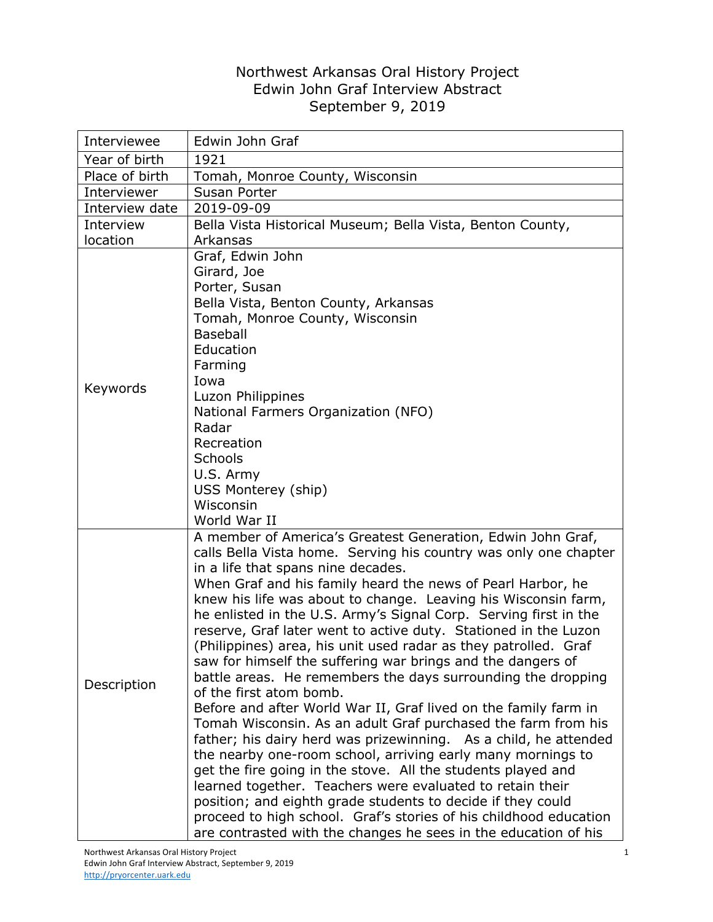## Northwest Arkansas Oral History Project Edwin John Graf Interview Abstract September 9, 2019

| Interviewee    | Edwin John Graf                                                                                                                                                                                                                                                                                                                                                                                                                                                                                                                                                                                                                                                                                                                                                                                                                                                                                                                                                                                                                                                                                                                                                                                                                                                                       |
|----------------|---------------------------------------------------------------------------------------------------------------------------------------------------------------------------------------------------------------------------------------------------------------------------------------------------------------------------------------------------------------------------------------------------------------------------------------------------------------------------------------------------------------------------------------------------------------------------------------------------------------------------------------------------------------------------------------------------------------------------------------------------------------------------------------------------------------------------------------------------------------------------------------------------------------------------------------------------------------------------------------------------------------------------------------------------------------------------------------------------------------------------------------------------------------------------------------------------------------------------------------------------------------------------------------|
| Year of birth  | 1921                                                                                                                                                                                                                                                                                                                                                                                                                                                                                                                                                                                                                                                                                                                                                                                                                                                                                                                                                                                                                                                                                                                                                                                                                                                                                  |
| Place of birth | Tomah, Monroe County, Wisconsin                                                                                                                                                                                                                                                                                                                                                                                                                                                                                                                                                                                                                                                                                                                                                                                                                                                                                                                                                                                                                                                                                                                                                                                                                                                       |
| Interviewer    | Susan Porter                                                                                                                                                                                                                                                                                                                                                                                                                                                                                                                                                                                                                                                                                                                                                                                                                                                                                                                                                                                                                                                                                                                                                                                                                                                                          |
| Interview date | 2019-09-09                                                                                                                                                                                                                                                                                                                                                                                                                                                                                                                                                                                                                                                                                                                                                                                                                                                                                                                                                                                                                                                                                                                                                                                                                                                                            |
| Interview      | Bella Vista Historical Museum; Bella Vista, Benton County,                                                                                                                                                                                                                                                                                                                                                                                                                                                                                                                                                                                                                                                                                                                                                                                                                                                                                                                                                                                                                                                                                                                                                                                                                            |
| location       | Arkansas                                                                                                                                                                                                                                                                                                                                                                                                                                                                                                                                                                                                                                                                                                                                                                                                                                                                                                                                                                                                                                                                                                                                                                                                                                                                              |
| Keywords       | Graf, Edwin John<br>Girard, Joe<br>Porter, Susan<br>Bella Vista, Benton County, Arkansas<br>Tomah, Monroe County, Wisconsin<br><b>Baseball</b><br>Education<br>Farming<br>Iowa<br>Luzon Philippines<br>National Farmers Organization (NFO)<br>Radar<br>Recreation<br>Schools<br>U.S. Army<br>USS Monterey (ship)<br>Wisconsin<br>World War II                                                                                                                                                                                                                                                                                                                                                                                                                                                                                                                                                                                                                                                                                                                                                                                                                                                                                                                                         |
| Description    | A member of America's Greatest Generation, Edwin John Graf,<br>calls Bella Vista home. Serving his country was only one chapter<br>in a life that spans nine decades.<br>When Graf and his family heard the news of Pearl Harbor, he<br>knew his life was about to change. Leaving his Wisconsin farm,<br>he enlisted in the U.S. Army's Signal Corp. Serving first in the<br>reserve, Graf later went to active duty. Stationed in the Luzon<br>(Philippines) area, his unit used radar as they patrolled. Graf<br>saw for himself the suffering war brings and the dangers of<br>battle areas. He remembers the days surrounding the dropping<br>of the first atom bomb.<br>Before and after World War II, Graf lived on the family farm in<br>Tomah Wisconsin. As an adult Graf purchased the farm from his<br>father; his dairy herd was prizewinning. As a child, he attended<br>the nearby one-room school, arriving early many mornings to<br>get the fire going in the stove. All the students played and<br>learned together. Teachers were evaluated to retain their<br>position; and eighth grade students to decide if they could<br>proceed to high school. Graf's stories of his childhood education<br>are contrasted with the changes he sees in the education of his |